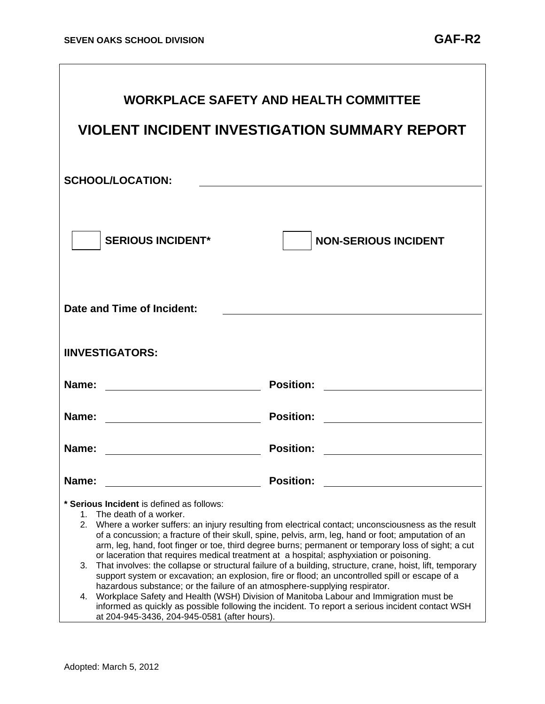٦

| <b>WORKPLACE SAFETY AND HEALTH COMMITTEE</b><br><b>VIOLENT INCIDENT INVESTIGATION SUMMARY REPORT</b>                                                                                                                                                                                                                                                                                                |                                                                                                                                                                                                                                                                                                                                                                                                                                                                                                      |  |
|-----------------------------------------------------------------------------------------------------------------------------------------------------------------------------------------------------------------------------------------------------------------------------------------------------------------------------------------------------------------------------------------------------|------------------------------------------------------------------------------------------------------------------------------------------------------------------------------------------------------------------------------------------------------------------------------------------------------------------------------------------------------------------------------------------------------------------------------------------------------------------------------------------------------|--|
| <b>SCHOOL/LOCATION:</b>                                                                                                                                                                                                                                                                                                                                                                             |                                                                                                                                                                                                                                                                                                                                                                                                                                                                                                      |  |
| <b>SERIOUS INCIDENT*</b>                                                                                                                                                                                                                                                                                                                                                                            | <b>NON-SERIOUS INCIDENT</b>                                                                                                                                                                                                                                                                                                                                                                                                                                                                          |  |
| Date and Time of Incident:                                                                                                                                                                                                                                                                                                                                                                          |                                                                                                                                                                                                                                                                                                                                                                                                                                                                                                      |  |
| <b>IINVESTIGATORS:</b>                                                                                                                                                                                                                                                                                                                                                                              |                                                                                                                                                                                                                                                                                                                                                                                                                                                                                                      |  |
| <u> 1989 - Johann Barbara, martxa a</u><br>Name:                                                                                                                                                                                                                                                                                                                                                    | <b>Position:</b>                                                                                                                                                                                                                                                                                                                                                                                                                                                                                     |  |
| Name:                                                                                                                                                                                                                                                                                                                                                                                               | <b>Position:</b>                                                                                                                                                                                                                                                                                                                                                                                                                                                                                     |  |
| Name:                                                                                                                                                                                                                                                                                                                                                                                               | <b>Position:</b>                                                                                                                                                                                                                                                                                                                                                                                                                                                                                     |  |
| Name:                                                                                                                                                                                                                                                                                                                                                                                               | <b>Position:</b>                                                                                                                                                                                                                                                                                                                                                                                                                                                                                     |  |
| * Serious Incident is defined as follows:<br>The death of a worker.<br>1.<br>2.<br>Where a worker suffers: an injury resulting from electrical contact; unconsciousness as the result<br>of a concussion; a fracture of their skull, spine, pelvis, arm, leg, hand or foot; amputation of an<br>arm, leg, hand, foot finger or toe, third degree burns; permanent or temporary loss of sight; a cut |                                                                                                                                                                                                                                                                                                                                                                                                                                                                                                      |  |
| 3.<br>hazardous substance; or the failure of an atmosphere-supplying respirator.<br>4.<br>at 204-945-3436, 204-945-0581 (after hours).                                                                                                                                                                                                                                                              | or laceration that requires medical treatment at a hospital; asphyxiation or poisoning.<br>That involves: the collapse or structural failure of a building, structure, crane, hoist, lift, temporary<br>support system or excavation; an explosion, fire or flood; an uncontrolled spill or escape of a<br>Workplace Safety and Health (WSH) Division of Manitoba Labour and Immigration must be<br>informed as quickly as possible following the incident. To report a serious incident contact WSH |  |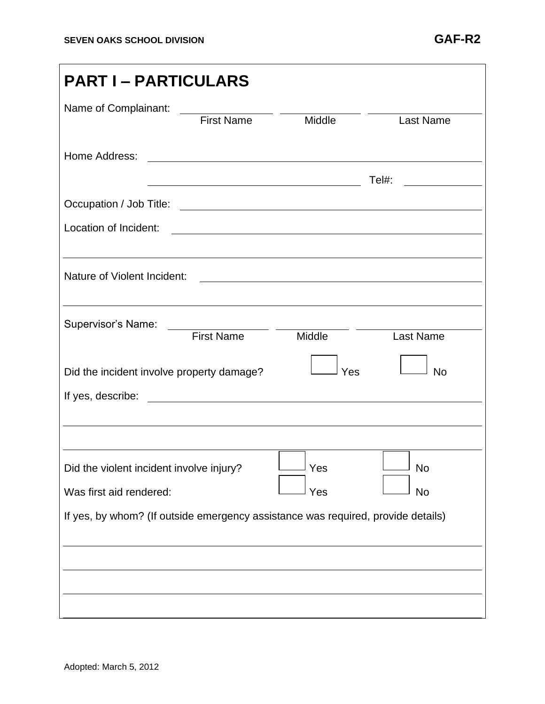| <b>PART I – PARTICULARS</b>                                                                                                             |                                                                                                                       |                                                                                                                      |
|-----------------------------------------------------------------------------------------------------------------------------------------|-----------------------------------------------------------------------------------------------------------------------|----------------------------------------------------------------------------------------------------------------------|
| Name of Complainant:<br><b>First Name</b>                                                                                               | Middle                                                                                                                | <b>Last Name</b>                                                                                                     |
| Home Address:<br><u> 1989 - Johann Stoff, deutscher Stoffen und der Stoffen und der Stoffen und der Stoffen und der Stoffen und der</u> |                                                                                                                       |                                                                                                                      |
|                                                                                                                                         |                                                                                                                       | Tel#:<br><u> 1990 - Johann Barbara, martin a</u>                                                                     |
|                                                                                                                                         |                                                                                                                       |                                                                                                                      |
| Location of Incident:                                                                                                                   |                                                                                                                       | <u> 1980 - Johann Barn, mars ann an t-Amhain Aonaich an t-Aonaich an t-Aonaich ann an t-Aonaich ann an t-Aonaich</u> |
| Nature of Violent Incident:<br>,我们也不会有什么。""我们的人,我们也不会有什么?""我们的人,我们也不会有什么?""我们的人,我们也不会有什么?""我们的人,我们也不会有什么?""我们的人                         | <u> 1980 - Johann Barn, mars ann an t-Amhain Aonaichte ann an t-Aonaichte ann an t-Aonaichte ann an t-Aonaichte a</u> |                                                                                                                      |
| Supervisor's Name:<br><b>First Name</b>                                                                                                 | Middle                                                                                                                | <b>Last Name</b>                                                                                                     |
| Did the incident involve property damage?                                                                                               | Yes                                                                                                                   | <b>No</b>                                                                                                            |
|                                                                                                                                         |                                                                                                                       |                                                                                                                      |
|                                                                                                                                         |                                                                                                                       |                                                                                                                      |
| Did the violent incident involve injury?                                                                                                | J Yes                                                                                                                 | No                                                                                                                   |
| Was first aid rendered:                                                                                                                 | Yes                                                                                                                   | <b>No</b>                                                                                                            |
| If yes, by whom? (If outside emergency assistance was required, provide details)                                                        |                                                                                                                       |                                                                                                                      |
|                                                                                                                                         |                                                                                                                       |                                                                                                                      |
|                                                                                                                                         |                                                                                                                       |                                                                                                                      |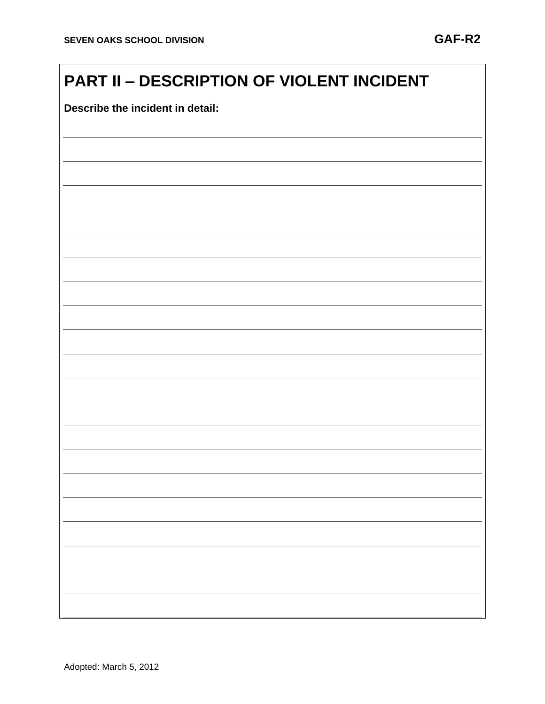## **PART II – DESCRIPTION OF VIOLENT INCIDENT**

**Describe the incident in detail:**

Adopted: March 5, 2012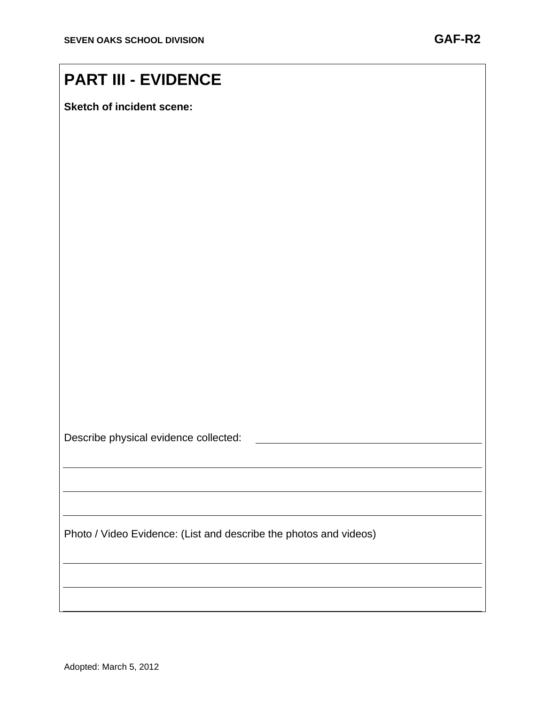## **PART III - EVIDENCE**

**Sketch of incident scene:**

Describe physical evidence collected:

Photo / Video Evidence: (List and describe the photos and videos)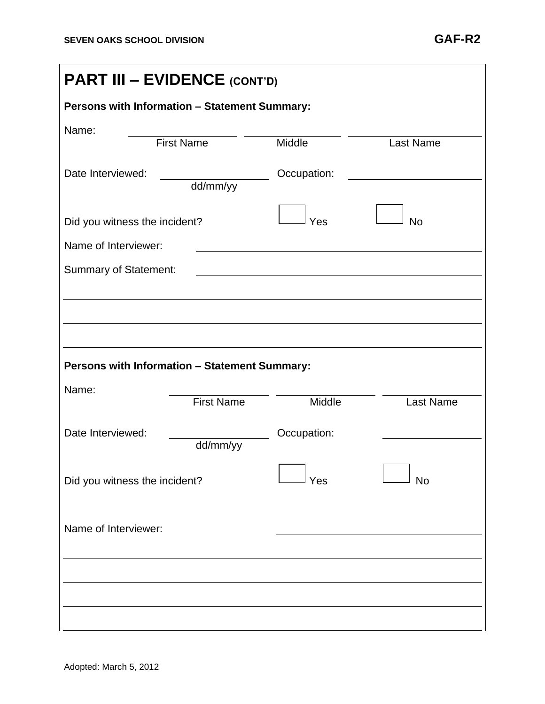| <b>PART III - EVIDENCE (CONT'D)</b>           |             |                  |  |  |
|-----------------------------------------------|-------------|------------------|--|--|
| Persons with Information - Statement Summary: |             |                  |  |  |
| Name:<br><b>First Name</b>                    | Middle      | <b>Last Name</b> |  |  |
| Date Interviewed:<br>dd/mm/yy                 | Occupation: |                  |  |  |
| Did you witness the incident?                 | Yes         | <b>No</b>        |  |  |
| Name of Interviewer:                          |             |                  |  |  |
| <b>Summary of Statement:</b>                  |             |                  |  |  |
|                                               |             |                  |  |  |
|                                               |             |                  |  |  |
|                                               |             |                  |  |  |
| Persons with Information - Statement Summary: |             |                  |  |  |
| Name:                                         |             |                  |  |  |
| <b>First Name</b>                             | Middle      | <b>Last Name</b> |  |  |
| Date Interviewed:<br>dd/mm/yy                 | Occupation: |                  |  |  |
| Did you witness the incident?                 | Yes         | No               |  |  |
| Name of Interviewer:                          |             |                  |  |  |
|                                               |             |                  |  |  |
|                                               |             |                  |  |  |
|                                               |             |                  |  |  |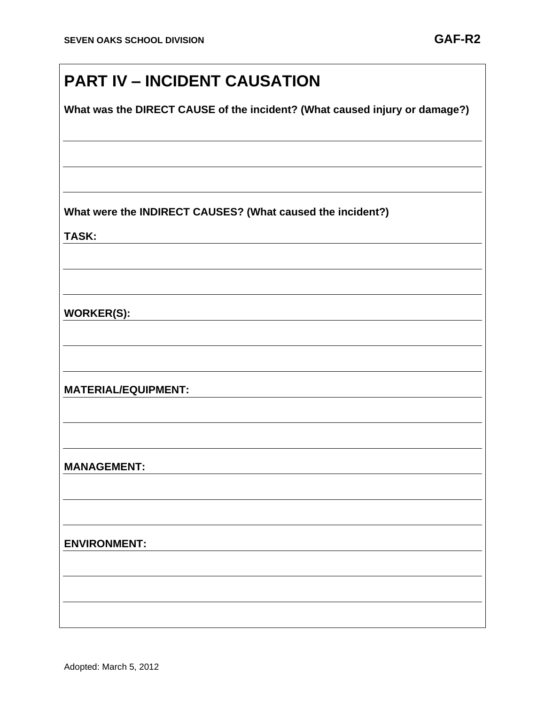## **PART IV – INCIDENT CAUSATION**

**What was the DIRECT CAUSE of the incident? (What caused injury or damage?)**

**What were the INDIRECT CAUSES? (What caused the incident?)**

**TASK:**

**WORKER(S):**

**MATERIAL/EQUIPMENT:**

**MANAGEMENT:**

**ENVIRONMENT:**